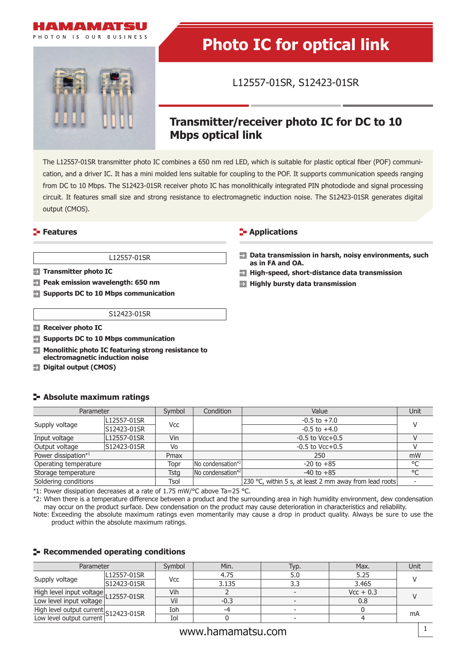

PHOTON IS OUR RUSINESS



# **Photo IC for optical link**

L12557-01SR, S12423-01SR

## **Transmitter/receiver photo IC for DC to 10 Mbps optical link**

The L12557-01SR transmitter photo IC combines a 650 nm red LED, which is suitable for plastic optical fiber (POF) communication, and a driver IC. It has a mini molded lens suitable for coupling to the POF. It supports communication speeds ranging from DC to 10 Mbps. The S12423-01SR receiver photo IC has monolithically integrated PIN photodiode and signal processing circuit. It features small size and strong resistance to electromagnetic induction noise. The S12423-01SR generates digital output (CMOS).

#### L12557-01SR

- $\rightarrow$ **Transmitter photo IC**
- **Peak emission wavelength: 650 nm**  $\rightarrow$
- **Supports DC to 10 Mbps communication**

#### **Features Contract Contract Contract Contract Contract Contract Contract Contract Contract Contract Contract Contract Contract Contract Contract Contract Contract Contract Contract Contract Contract Contract Contract Con**

- **Data transmission in harsh, noisy environments, such as in FA and OA.**
- $\rightarrow$ **High-speed, short-distance data transmission**
- **Highly bursty data transmission**

#### S12423-01SR

- **Receiver photo IC**
- **Supports DC to 10 Mbps communication**
- **Monolithic photo IC featuring strong resistance to**   $\rightarrow$ **electromagnetic induction noise**
- **Digital output (CMOS)**

#### **Absolute maximum ratings**

| Parameter             |             | Symbol | Condition                             | Value                                                  | Unit |
|-----------------------|-------------|--------|---------------------------------------|--------------------------------------------------------|------|
|                       | L12557-01SR |        |                                       | $-0.5$ to $+7.0$                                       |      |
| Supply voltage        | S12423-01SR | Vcc    |                                       | $-0.5$ to $+4.0$                                       |      |
| Input voltage         | L12557-01SR | Vin    |                                       | $-0.5$ to Vcc $+0.5$                                   |      |
| Output voltage        | S12423-01SR | Vo     |                                       | $-0.5$ to Vcc $+0.5$                                   |      |
| Power dissipation*1   |             | Pmax   |                                       | 250                                                    | mW   |
| Operating temperature |             | Topr   | No condensation*2                     | $-20$ to $+85$                                         | °C   |
| Storage temperature   |             | Tstg   | $\sqrt{N}$ condensation <sup>*2</sup> | $-40$ to $+85$                                         | °C   |
| Soldering conditions  |             | Tsol   |                                       | 230 °C, within 5 s, at least 2 mm away from lead roots |      |

\*1: Power dissipation decreases at a rate of 1.75 mW/°C above Ta=25 °C.

\*2: When there is a temperature difference between a product and the surrounding area in high humidity environment, dew condensation may occur on the product surface. Dew condensation on the product may cause deterioration in characteristics and reliability.

Note: Exceeding the absolute maximum ratings even momentarily may cause a drop in product quality. Always be sure to use the product within the absolute maximum ratings.

#### **Recommended operating conditions**

| Parameter                                                         |             | Svmbol | Min.  | Typ. | Max.        | Unit |
|-------------------------------------------------------------------|-------------|--------|-------|------|-------------|------|
|                                                                   | L12557-01SR |        | 4.75  | 5.U  | 5.25        |      |
| Supply voltage                                                    | S12423-01SR | Vcc    | 3.135 |      | 3.465       |      |
| High level input voltage<br>Low level input voltage L12557-01SR   |             | Vih    |       |      | $Vcc + 0.3$ |      |
|                                                                   |             | Vil    | -0.3  |      | 0.8         |      |
| High level output current S12423-01SR<br>Low level output current |             | Ioh    | -4    |      |             |      |
|                                                                   |             | Iol    |       |      |             | mA   |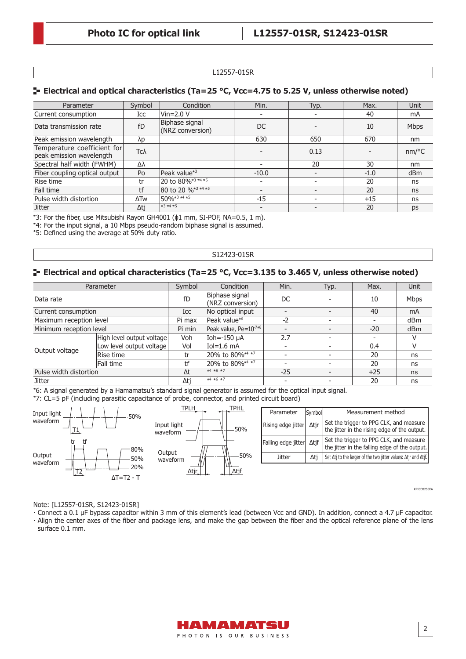#### L12557-01SR

#### **E** Electrical and optical characteristics (Ta=25 °C, Vcc=4.75 to 5.25 V, unless otherwise noted)

| Parameter                                               | Symbol | Condition                          | Min.    | Typ. | Max.   | <b>Unit</b>     |
|---------------------------------------------------------|--------|------------------------------------|---------|------|--------|-----------------|
| Current consumption                                     | Icc    | Vin=2.0 V                          |         |      | 40     | mA              |
| Data transmission rate                                  | fD     | Biphase signal<br>(NRZ conversion) | DC      |      | 10     | <b>Mbps</b>     |
| Peak emission wavelength                                | λp     |                                    | 630     | 650  | 670    | nm              |
| Temperature coefficient for<br>peak emission wavelength | Тсλ    |                                    |         | 0.13 |        | nm/°C           |
| Spectral half width (FWHM)                              | Δλ     |                                    |         | 20   | 30     | nm              |
| Fiber coupling optical output                           | Po     | Peak value* <sup>3</sup>           | $-10.0$ |      | $-1.0$ | d <sub>Bm</sub> |
| Rise time                                               | tr     | 20 to 80%*3 *4 *5                  |         |      | 20     | ns              |
| Fall time                                               | tf     | 80 to 20 % <sup>*3 *4</sup> *5     |         |      | 20     | ns              |
| Pulse width distortion                                  | ΔTw    | $150\sqrt{0*3*4*5}$                | $-15$   |      | $+15$  | ns              |
| <b>Jitter</b>                                           | Δtj    | $*3*4*5$                           |         |      | 20     | ps              |

\*3: For the fiber, use Mitsubishi Rayon GH4001 ( $\phi$ 1 mm, SI-POF, NA=0.5, 1 m).

\*4: For the input signal, a 10 Mbps pseudo-random biphase signal is assumed.

\*5: Defined using the average at 50% duty ratio.

#### S12423-01SR

#### **E** Electrical and optical characteristics (Ta=25 °C, Vcc=3.135 to 3.465 V, unless otherwise noted)

| Parameter               |                            | Symbol     | Condition                          | Min.                     | Typ. | Max.  | Unit        |
|-------------------------|----------------------------|------------|------------------------------------|--------------------------|------|-------|-------------|
| Data rate               |                            | fD         | Biphase signal<br>(NRZ conversion) | DC.                      |      | 10    | <b>Mbps</b> |
| Current consumption     |                            | Icc        | No optical input                   | -                        |      | 40    | mA          |
| Maximum reception level |                            | Pi max     | Peak value* <sup>6</sup>           | $-2$                     |      |       | dBm         |
| Minimum reception level |                            | Pi min     | Peak value, Pe=10-7*6              |                          |      | $-20$ | dBm         |
|                         | High level output voltagel | Voh        | Ioh=-150 µA                        | 2.7                      |      |       |             |
| Output voltage          | Low level output voltage   | Vol        | Iol=1.6 mA                         |                          |      | 0.4   | V           |
|                         | Rise time                  | tr         | 20% to 80% <sup>*4 *7</sup>        | $\overline{\phantom{0}}$ |      | 20    | ns          |
|                         | Fall time                  | tf         | 20% to 80%*4 *7                    |                          |      | 20    | ns          |
| Pulse width distortion  |                            | $\Delta t$ | $*4 *6 *7$                         | $-25$                    |      | $+25$ | ns          |
| Jitter                  |                            | Δtj        | $*4 *6 *7$                         |                          |      | 20    | ns          |

\*6: A signal generated by a Hamamatsu's standard signal generator is assumed for the optical input signal.

\*7: CL=5 pF (including parasitic capacitance of probe, connector, and printed circuit board)



KPICC0250EA

#### Note: [L12557-01SR, S12423-01SR]

· Connect a 0.1 μF bypass capacitor within 3 mm of this element's lead (between Vcc and GND). In addition, connect a 4.7 μF capacitor. · Align the center axes of the fiber and package lens, and make the gap between the fiber and the optical reference plane of the lens surface 0.1 mm.

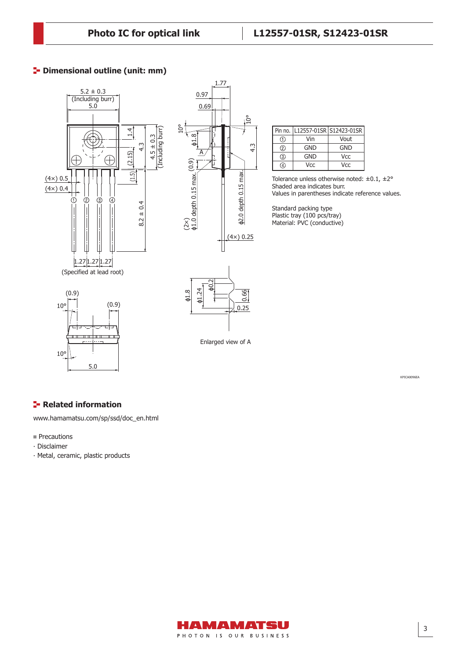#### **P** Dimensional outline (unit: mm)





|          |     | Pin no.   L12557-01SR   S12423-01SR |  |  |
|----------|-----|-------------------------------------|--|--|
|          | Vin | Vout                                |  |  |
| $^{(2)}$ | GND | GND                                 |  |  |
| '3.      | GND | Vcc                                 |  |  |
|          | Vcc | Vcc                                 |  |  |

Tolerance unless otherwise noted:  $\pm 0.1$ ,  $\pm 2^{\circ}$ Shaded area indicates burr. Values in parentheses indicate reference values.

Standard packing type Plastic tray (100 pcs/tray) Material: PVC (conductive)



0.25 ϕ1.24 0.66

Enlarged view of A

KPICA0096EA

### **F** Related information

[www.hamamatsu.com/sp/ssd/doc\\_en.html](http://www.hamamatsu.com/sp/ssd/doc_en.html)

- **Precautions**
- ∙ Disclaimer
- ∙ Metal, ceramic, plastic products